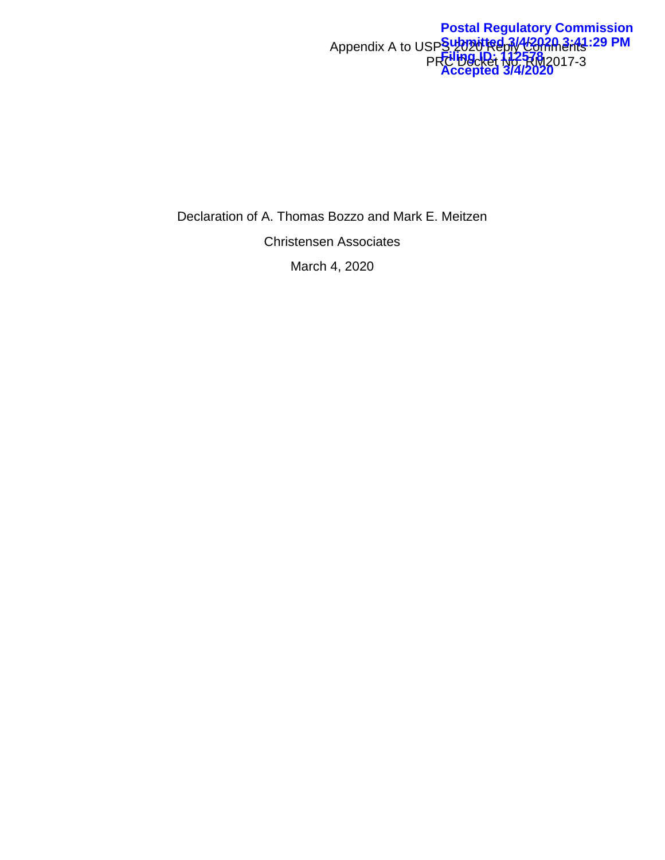#### Appendix A to USPS 2020 Reply Comments PRC Docket No. RM2017-3 **Postal Regulatory Commission Submitted 3/4/2020 3:41:29 PM Filing ID: 112578 Accepted 3/4/2020**

Declaration of A. Thomas Bozzo and Mark E. Meitzen Christensen Associates March 4, 2020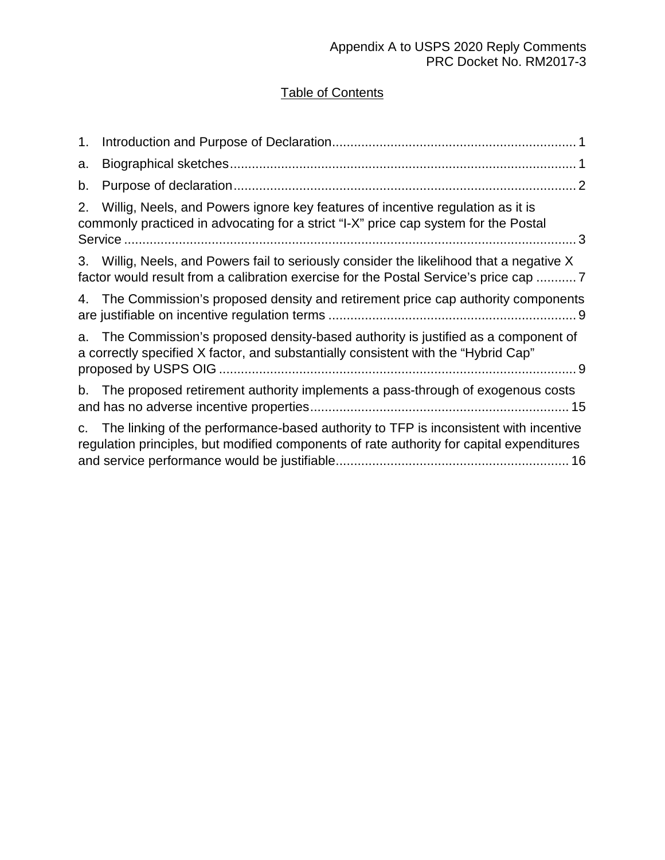# Table of Contents

| 1.          |                                                                                                                                                                                   |
|-------------|-----------------------------------------------------------------------------------------------------------------------------------------------------------------------------------|
| a.          |                                                                                                                                                                                   |
| b.          |                                                                                                                                                                                   |
| 2.          | Willig, Neels, and Powers ignore key features of incentive regulation as it is<br>commonly practiced in advocating for a strict "I-X" price cap system for the Postal             |
| 3.          | Willig, Neels, and Powers fail to seriously consider the likelihood that a negative X<br>factor would result from a calibration exercise for the Postal Service's price cap  7    |
|             | 4. The Commission's proposed density and retirement price cap authority components                                                                                                |
|             | a. The Commission's proposed density-based authority is justified as a component of<br>a correctly specified X factor, and substantially consistent with the "Hybrid Cap"         |
|             | b. The proposed retirement authority implements a pass-through of exogenous costs                                                                                                 |
| $C_{\cdot}$ | The linking of the performance-based authority to TFP is inconsistent with incentive<br>regulation principles, but modified components of rate authority for capital expenditures |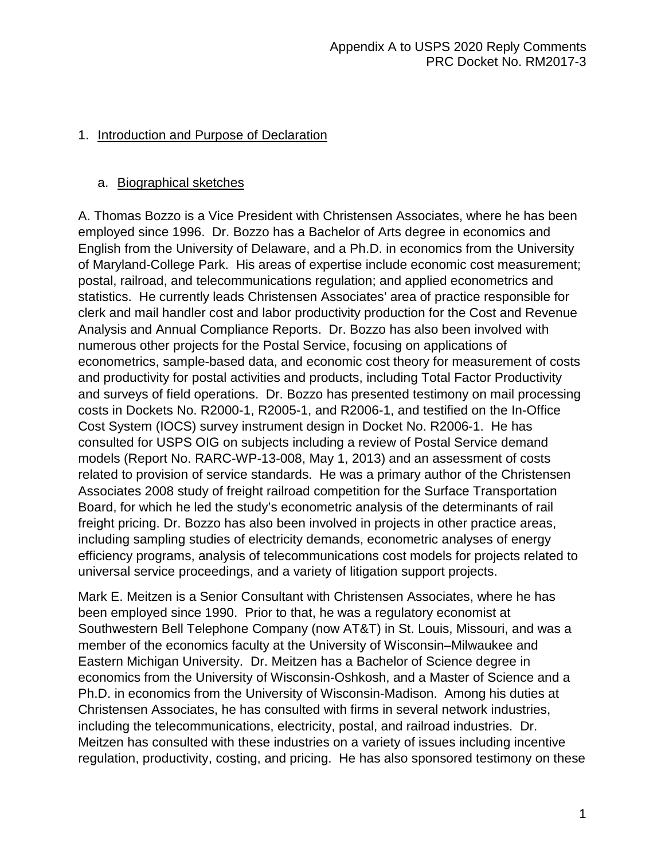# <span id="page-2-0"></span>1. Introduction and Purpose of Declaration

#### <span id="page-2-1"></span>a. Biographical sketches

A. Thomas Bozzo is a Vice President with Christensen Associates, where he has been employed since 1996. Dr. Bozzo has a Bachelor of Arts degree in economics and English from the University of Delaware, and a Ph.D. in economics from the University of Maryland-College Park. His areas of expertise include economic cost measurement; postal, railroad, and telecommunications regulation; and applied econometrics and statistics. He currently leads Christensen Associates' area of practice responsible for clerk and mail handler cost and labor productivity production for the Cost and Revenue Analysis and Annual Compliance Reports. Dr. Bozzo has also been involved with numerous other projects for the Postal Service, focusing on applications of econometrics, sample-based data, and economic cost theory for measurement of costs and productivity for postal activities and products, including Total Factor Productivity and surveys of field operations. Dr. Bozzo has presented testimony on mail processing costs in Dockets No. R2000-1, R2005-1, and R2006-1, and testified on the In-Office Cost System (IOCS) survey instrument design in Docket No. R2006-1. He has consulted for USPS OIG on subjects including a review of Postal Service demand models (Report No. RARC-WP-13-008, May 1, 2013) and an assessment of costs related to provision of service standards. He was a primary author of the Christensen Associates 2008 study of freight railroad competition for the Surface Transportation Board, for which he led the study's econometric analysis of the determinants of rail freight pricing. Dr. Bozzo has also been involved in projects in other practice areas, including sampling studies of electricity demands, econometric analyses of energy efficiency programs, analysis of telecommunications cost models for projects related to universal service proceedings, and a variety of litigation support projects.

Mark E. Meitzen is a Senior Consultant with Christensen Associates, where he has been employed since 1990. Prior to that, he was a regulatory economist at Southwestern Bell Telephone Company (now AT&T) in St. Louis, Missouri, and was a member of the economics faculty at the University of Wisconsin–Milwaukee and Eastern Michigan University. Dr. Meitzen has a Bachelor of Science degree in economics from the University of Wisconsin-Oshkosh, and a Master of Science and a Ph.D. in economics from the University of Wisconsin-Madison. Among his duties at Christensen Associates, he has consulted with firms in several network industries, including the telecommunications, electricity, postal, and railroad industries. Dr. Meitzen has consulted with these industries on a variety of issues including incentive regulation, productivity, costing, and pricing. He has also sponsored testimony on these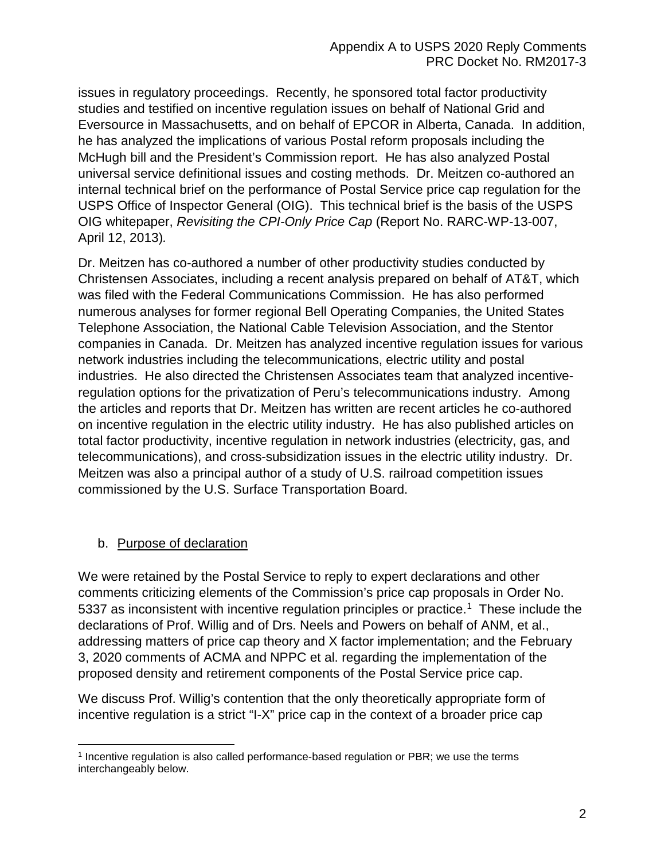issues in regulatory proceedings. Recently, he sponsored total factor productivity studies and testified on incentive regulation issues on behalf of National Grid and Eversource in Massachusetts, and on behalf of EPCOR in Alberta, Canada. In addition, he has analyzed the implications of various Postal reform proposals including the McHugh bill and the President's Commission report. He has also analyzed Postal universal service definitional issues and costing methods. Dr. Meitzen co-authored an internal technical brief on the performance of Postal Service price cap regulation for the USPS Office of Inspector General (OIG). This technical brief is the basis of the USPS OIG whitepaper, *Revisiting the CPI-Only Price Cap* (Report No. RARC-WP-13-007, April 12, 2013)*.*

Dr. Meitzen has co-authored a number of other productivity studies conducted by Christensen Associates, including a recent analysis prepared on behalf of AT&T, which was filed with the Federal Communications Commission. He has also performed numerous analyses for former regional Bell Operating Companies, the United States Telephone Association, the National Cable Television Association, and the Stentor companies in Canada. Dr. Meitzen has analyzed incentive regulation issues for various network industries including the telecommunications, electric utility and postal industries. He also directed the Christensen Associates team that analyzed incentiveregulation options for the privatization of Peru's telecommunications industry. Among the articles and reports that Dr. Meitzen has written are recent articles he co-authored on incentive regulation in the electric utility industry. He has also published articles on total factor productivity, incentive regulation in network industries (electricity, gas, and telecommunications), and cross-subsidization issues in the electric utility industry. Dr. Meitzen was also a principal author of a study of U.S. railroad competition issues commissioned by the U.S. Surface Transportation Board.

# <span id="page-3-0"></span>b. Purpose of declaration

l

We were retained by the Postal Service to reply to expert declarations and other comments criticizing elements of the Commission's price cap proposals in Order No. 5337 as inconsistent with incentive regulation principles or practice.<sup>1</sup> These include the declarations of Prof. Willig and of Drs. Neels and Powers on behalf of ANM, et al., addressing matters of price cap theory and X factor implementation; and the February 3, 2020 comments of ACMA and NPPC et al. regarding the implementation of the proposed density and retirement components of the Postal Service price cap.

We discuss Prof. Willig's contention that the only theoretically appropriate form of incentive regulation is a strict "I-X" price cap in the context of a broader price cap

<span id="page-3-1"></span><sup>1</sup> Incentive regulation is also called performance-based regulation or PBR; we use the terms interchangeably below.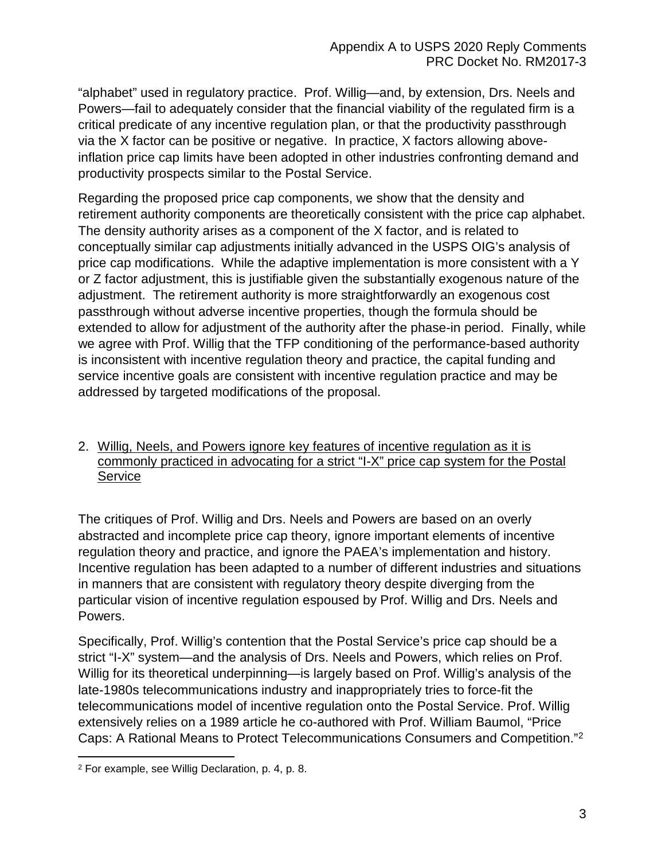"alphabet" used in regulatory practice. Prof. Willig—and, by extension, Drs. Neels and Powers—fail to adequately consider that the financial viability of the regulated firm is a critical predicate of any incentive regulation plan, or that the productivity passthrough via the X factor can be positive or negative. In practice, X factors allowing aboveinflation price cap limits have been adopted in other industries confronting demand and productivity prospects similar to the Postal Service.

Regarding the proposed price cap components, we show that the density and retirement authority components are theoretically consistent with the price cap alphabet. The density authority arises as a component of the X factor, and is related to conceptually similar cap adjustments initially advanced in the USPS OIG's analysis of price cap modifications. While the adaptive implementation is more consistent with a Y or Z factor adjustment, this is justifiable given the substantially exogenous nature of the adjustment. The retirement authority is more straightforwardly an exogenous cost passthrough without adverse incentive properties, though the formula should be extended to allow for adjustment of the authority after the phase-in period. Finally, while we agree with Prof. Willig that the TFP conditioning of the performance-based authority is inconsistent with incentive regulation theory and practice, the capital funding and service incentive goals are consistent with incentive regulation practice and may be addressed by targeted modifications of the proposal.

#### <span id="page-4-0"></span>2. Willig, Neels, and Powers ignore key features of incentive regulation as it is commonly practiced in advocating for a strict "I-X" price cap system for the Postal Service

The critiques of Prof. Willig and Drs. Neels and Powers are based on an overly abstracted and incomplete price cap theory, ignore important elements of incentive regulation theory and practice, and ignore the PAEA's implementation and history. Incentive regulation has been adapted to a number of different industries and situations in manners that are consistent with regulatory theory despite diverging from the particular vision of incentive regulation espoused by Prof. Willig and Drs. Neels and Powers.

Specifically, Prof. Willig's contention that the Postal Service's price cap should be a strict "I-X" system—and the analysis of Drs. Neels and Powers, which relies on Prof. Willig for its theoretical underpinning—is largely based on Prof. Willig's analysis of the late-1980s telecommunications industry and inappropriately tries to force-fit the telecommunications model of incentive regulation onto the Postal Service. Prof. Willig extensively relies on a 1989 article he co-authored with Prof. William Baumol, "Price Caps: A Rational Means to Protect Telecommunications Consumers and Competition."[2](#page-4-1)

 $\overline{a}$ 

<span id="page-4-1"></span><sup>2</sup> For example, see Willig Declaration, p. 4, p. 8.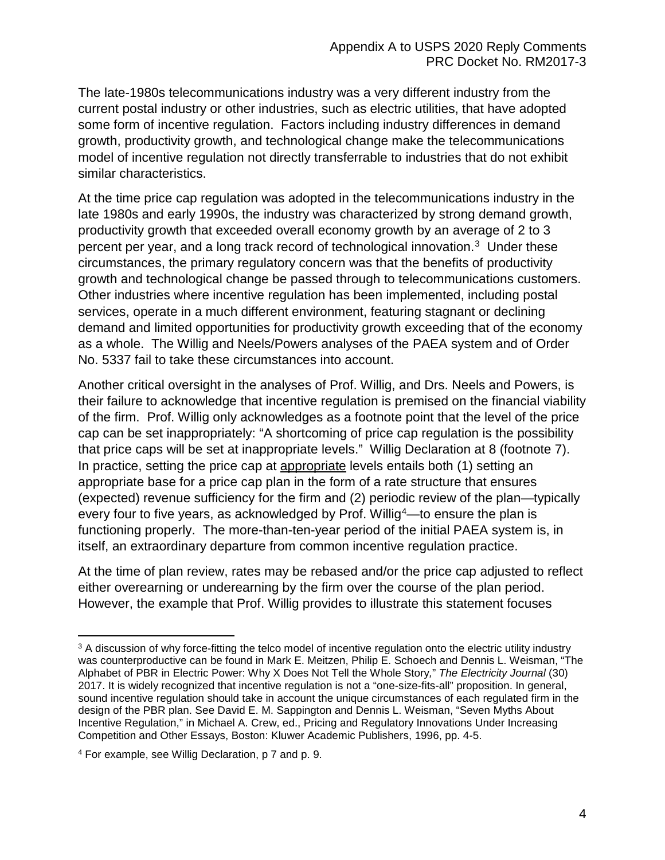The late-1980s telecommunications industry was a very different industry from the current postal industry or other industries, such as electric utilities, that have adopted some form of incentive regulation. Factors including industry differences in demand growth, productivity growth, and technological change make the telecommunications model of incentive regulation not directly transferrable to industries that do not exhibit similar characteristics.

At the time price cap regulation was adopted in the telecommunications industry in the late 1980s and early 1990s, the industry was characterized by strong demand growth, productivity growth that exceeded overall economy growth by an average of 2 to 3 percent per year, and a long track record of technological innovation.[3](#page-5-0) Under these circumstances, the primary regulatory concern was that the benefits of productivity growth and technological change be passed through to telecommunications customers. Other industries where incentive regulation has been implemented, including postal services, operate in a much different environment, featuring stagnant or declining demand and limited opportunities for productivity growth exceeding that of the economy as a whole. The Willig and Neels/Powers analyses of the PAEA system and of Order No. 5337 fail to take these circumstances into account.

Another critical oversight in the analyses of Prof. Willig, and Drs. Neels and Powers, is their failure to acknowledge that incentive regulation is premised on the financial viability of the firm. Prof. Willig only acknowledges as a footnote point that the level of the price cap can be set inappropriately: "A shortcoming of price cap regulation is the possibility that price caps will be set at inappropriate levels." Willig Declaration at 8 (footnote 7). In practice, setting the price cap at appropriate levels entails both (1) setting an appropriate base for a price cap plan in the form of a rate structure that ensures (expected) revenue sufficiency for the firm and (2) periodic review of the plan—typically every four to five years, as acknowledged by Prof. Willig<sup>4</sup>—to ensure the plan is functioning properly. The more-than-ten-year period of the initial PAEA system is, in itself, an extraordinary departure from common incentive regulation practice.

At the time of plan review, rates may be rebased and/or the price cap adjusted to reflect either overearning or underearning by the firm over the course of the plan period. However, the example that Prof. Willig provides to illustrate this statement focuses

<span id="page-5-0"></span> $\overline{a}$ <sup>3</sup> A discussion of why force-fitting the telco model of incentive regulation onto the electric utility industry was counterproductive can be found in Mark E. Meitzen, Philip E. Schoech and Dennis L. Weisman, "The Alphabet of PBR in Electric Power: Why X Does Not Tell the Whole Story*,*" *The Electricity Journal* (30) 2017. It is widely recognized that incentive regulation is not a "one-size-fits-all" proposition. In general, sound incentive regulation should take in account the unique circumstances of each regulated firm in the design of the PBR plan. See David E. M. Sappington and Dennis L. Weisman, "Seven Myths About Incentive Regulation," in Michael A. Crew, ed., Pricing and Regulatory Innovations Under Increasing Competition and Other Essays, Boston: Kluwer Academic Publishers, 1996, pp. 4-5.

<span id="page-5-1"></span><sup>4</sup> For example, see Willig Declaration, p 7 and p. 9.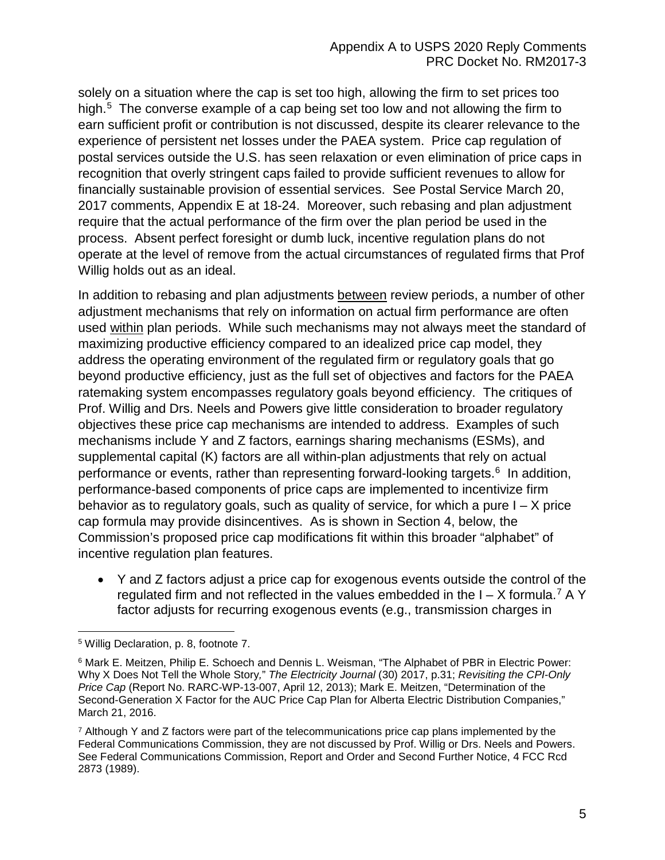solely on a situation where the cap is set too high, allowing the firm to set prices too high. [5](#page-6-0) The converse example of a cap being set too low and not allowing the firm to earn sufficient profit or contribution is not discussed, despite its clearer relevance to the experience of persistent net losses under the PAEA system. Price cap regulation of postal services outside the U.S. has seen relaxation or even elimination of price caps in recognition that overly stringent caps failed to provide sufficient revenues to allow for financially sustainable provision of essential services. See Postal Service March 20, 2017 comments, Appendix E at 18-24. Moreover, such rebasing and plan adjustment require that the actual performance of the firm over the plan period be used in the process. Absent perfect foresight or dumb luck, incentive regulation plans do not operate at the level of remove from the actual circumstances of regulated firms that Prof Willig holds out as an ideal.

In addition to rebasing and plan adjustments between review periods, a number of other adjustment mechanisms that rely on information on actual firm performance are often used within plan periods. While such mechanisms may not always meet the standard of maximizing productive efficiency compared to an idealized price cap model, they address the operating environment of the regulated firm or regulatory goals that go beyond productive efficiency, just as the full set of objectives and factors for the PAEA ratemaking system encompasses regulatory goals beyond efficiency. The critiques of Prof. Willig and Drs. Neels and Powers give little consideration to broader regulatory objectives these price cap mechanisms are intended to address. Examples of such mechanisms include Y and Z factors, earnings sharing mechanisms (ESMs), and supplemental capital (K) factors are all within-plan adjustments that rely on actual performance or events, rather than representing forward-looking targets.<sup>[6](#page-6-1)</sup> In addition, performance-based components of price caps are implemented to incentivize firm behavior as to regulatory goals, such as quality of service, for which a pure  $I - X$  price cap formula may provide disincentives. As is shown in Section 4, below, the Commission's proposed price cap modifications fit within this broader "alphabet" of incentive regulation plan features.

• Y and Z factors adjust a price cap for exogenous events outside the control of the regulated firm and not reflected in the values embedded in the  $I - X$  formula.<sup>[7](#page-6-2)</sup> A Y factor adjusts for recurring exogenous events (e.g., transmission charges in

<span id="page-6-0"></span> $\overline{a}$ <sup>5</sup> Willig Declaration, p. 8, footnote 7.

<span id="page-6-1"></span><sup>6</sup> Mark E. Meitzen, Philip E. Schoech and Dennis L. Weisman, "The Alphabet of PBR in Electric Power: Why X Does Not Tell the Whole Story*,*" *The Electricity Journal* (30) 2017, p.31; *Revisiting the CPI-Only Price Cap* (Report No. RARC-WP-13-007, April 12, 2013); Mark E. Meitzen, "Determination of the Second-Generation X Factor for the AUC Price Cap Plan for Alberta Electric Distribution Companies," March 21, 2016.

<span id="page-6-2"></span> $<sup>7</sup>$  Although Y and Z factors were part of the telecommunications price cap plans implemented by the</sup> Federal Communications Commission, they are not discussed by Prof. Willig or Drs. Neels and Powers. See Federal Communications Commission, Report and Order and Second Further Notice, 4 FCC Rcd 2873 (1989).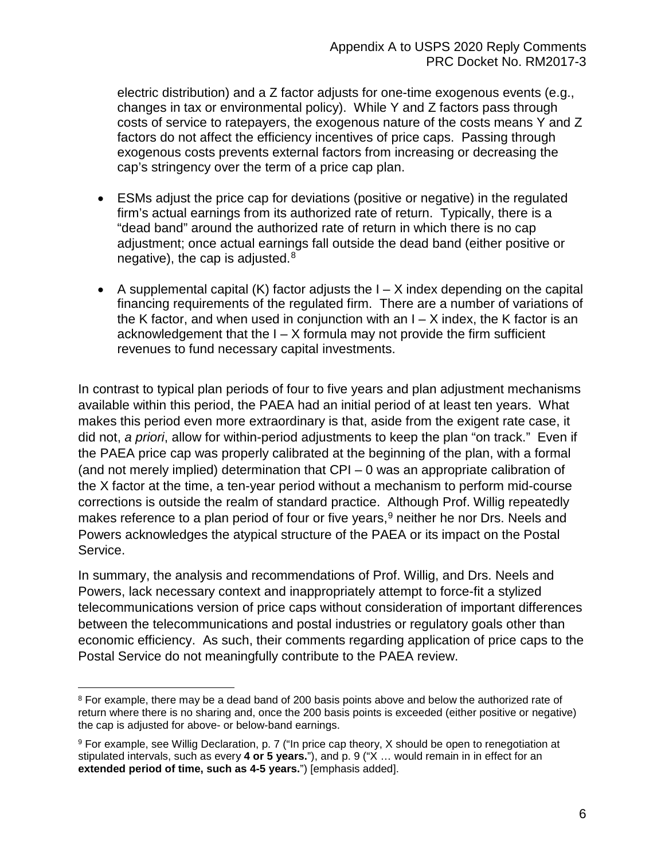electric distribution) and a Z factor adjusts for one-time exogenous events (e.g., changes in tax or environmental policy). While Y and Z factors pass through costs of service to ratepayers, the exogenous nature of the costs means Y and Z factors do not affect the efficiency incentives of price caps. Passing through exogenous costs prevents external factors from increasing or decreasing the cap's stringency over the term of a price cap plan.

- ESMs adjust the price cap for deviations (positive or negative) in the regulated firm's actual earnings from its authorized rate of return. Typically, there is a "dead band" around the authorized rate of return in which there is no cap adjustment; once actual earnings fall outside the dead band (either positive or negative), the cap is adjusted. $8<sup>8</sup>$  $8<sup>8</sup>$
- A supplemental capital  $(K)$  factor adjusts the  $I X$  index depending on the capital financing requirements of the regulated firm. There are a number of variations of the K factor, and when used in conjunction with an  $I - X$  index, the K factor is an acknowledgement that the  $I - X$  formula may not provide the firm sufficient revenues to fund necessary capital investments.

In contrast to typical plan periods of four to five years and plan adjustment mechanisms available within this period, the PAEA had an initial period of at least ten years. What makes this period even more extraordinary is that, aside from the exigent rate case, it did not, *a priori*, allow for within-period adjustments to keep the plan "on track." Even if the PAEA price cap was properly calibrated at the beginning of the plan, with a formal (and not merely implied) determination that CPI – 0 was an appropriate calibration of the X factor at the time, a ten-year period without a mechanism to perform mid-course corrections is outside the realm of standard practice. Although Prof. Willig repeatedly makes reference to a plan period of four or five years,  $9$  neither he nor Drs. Neels and Powers acknowledges the atypical structure of the PAEA or its impact on the Postal Service.

In summary, the analysis and recommendations of Prof. Willig, and Drs. Neels and Powers, lack necessary context and inappropriately attempt to force-fit a stylized telecommunications version of price caps without consideration of important differences between the telecommunications and postal industries or regulatory goals other than economic efficiency. As such, their comments regarding application of price caps to the Postal Service do not meaningfully contribute to the PAEA review.

<span id="page-7-0"></span> $\overline{\phantom{a}}$ <sup>8</sup> For example, there may be a dead band of 200 basis points above and below the authorized rate of return where there is no sharing and, once the 200 basis points is exceeded (either positive or negative) the cap is adjusted for above- or below-band earnings.

<span id="page-7-1"></span><sup>9</sup> For example, see Willig Declaration, p. 7 ("In price cap theory, X should be open to renegotiation at stipulated intervals, such as every **4 or 5 years.**"), and p. 9 ("X … would remain in in effect for an **extended period of time, such as 4-5 years.**") [emphasis added].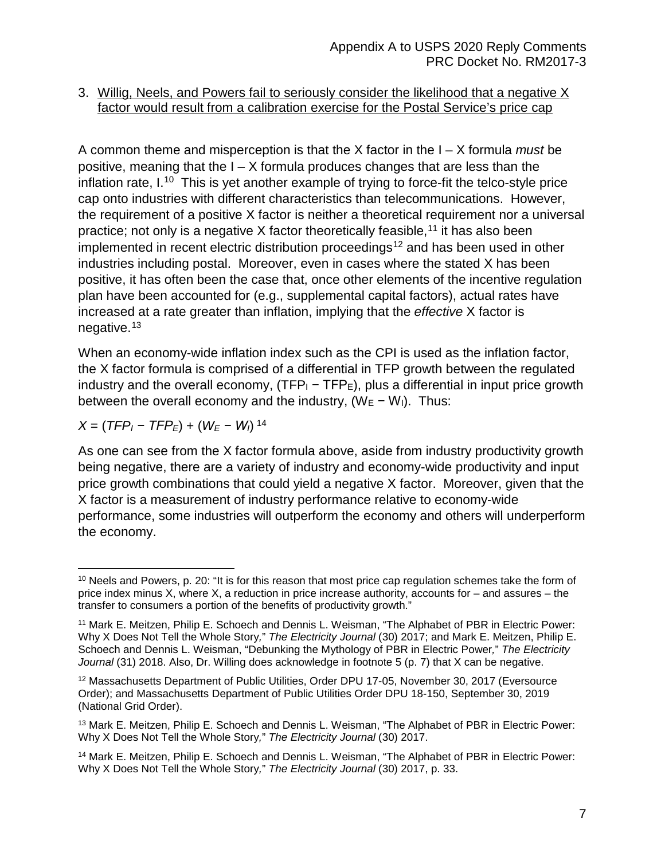### <span id="page-8-0"></span>3. Willig, Neels, and Powers fail to seriously consider the likelihood that a negative X factor would result from a calibration exercise for the Postal Service's price cap

A common theme and misperception is that the X factor in the I – X formula *must* be positive, meaning that the I – X formula produces changes that are less than the inflation rate,  $I^{10}$  $I^{10}$  $I^{10}$  This is yet another example of trying to force-fit the telco-style price cap onto industries with different characteristics than telecommunications. However, the requirement of a positive X factor is neither a theoretical requirement nor a universal practice; not only is a negative X factor theoretically feasible,  $11$  it has also been implemented in recent electric distribution proceedings<sup>[12](#page-8-3)</sup> and has been used in other industries including postal. Moreover, even in cases where the stated X has been positive, it has often been the case that, once other elements of the incentive regulation plan have been accounted for (e.g., supplemental capital factors), actual rates have increased at a rate greater than inflation, implying that the *effective* X factor is negative.[13](#page-8-4)

When an economy-wide inflation index such as the CPI is used as the inflation factor, the X factor formula is comprised of a differential in TFP growth between the regulated industry and the overall economy, (TFP $_1$  – TFP $_5$ ), plus a differential in input price growth between the overall economy and the industry,  $(W_E - W_I)$ . Thus:

$$
X = (TFP_1 - TFP_E) + (W_E - W_1)^{14}
$$

As one can see from the X factor formula above, aside from industry productivity growth being negative, there are a variety of industry and economy-wide productivity and input price growth combinations that could yield a negative X factor. Moreover, given that the X factor is a measurement of industry performance relative to economy-wide performance, some industries will outperform the economy and others will underperform the economy.

<span id="page-8-1"></span>l <sup>10</sup> Neels and Powers, p. 20: "It is for this reason that most price cap regulation schemes take the form of price index minus X, where X, a reduction in price increase authority, accounts for – and assures – the transfer to consumers a portion of the benefits of productivity growth."

<span id="page-8-2"></span><sup>11</sup> Mark E. Meitzen, Philip E. Schoech and Dennis L. Weisman, "The Alphabet of PBR in Electric Power: Why X Does Not Tell the Whole Story*,*" *The Electricity Journal* (30) 2017; and Mark E. Meitzen, Philip E. Schoech and Dennis L. Weisman, "Debunking the Mythology of PBR in Electric Power*,*" *The Electricity*  Journal (31) 2018. Also, Dr. Willing does acknowledge in footnote 5 (p. 7) that X can be negative.

<span id="page-8-3"></span><sup>12</sup> Massachusetts Department of Public Utilities, Order DPU 17-05, November 30, 2017 (Eversource Order); and Massachusetts Department of Public Utilities Order DPU 18-150, September 30, 2019 (National Grid Order).

<span id="page-8-4"></span><sup>13</sup> Mark E. Meitzen, Philip E. Schoech and Dennis L. Weisman, "The Alphabet of PBR in Electric Power: Why X Does Not Tell the Whole Story*,*" *The Electricity Journal* (30) 2017.

<span id="page-8-5"></span><sup>14</sup> Mark E. Meitzen, Philip E. Schoech and Dennis L. Weisman, "The Alphabet of PBR in Electric Power: Why X Does Not Tell the Whole Story*,*" *The Electricity Journal* (30) 2017, p. 33.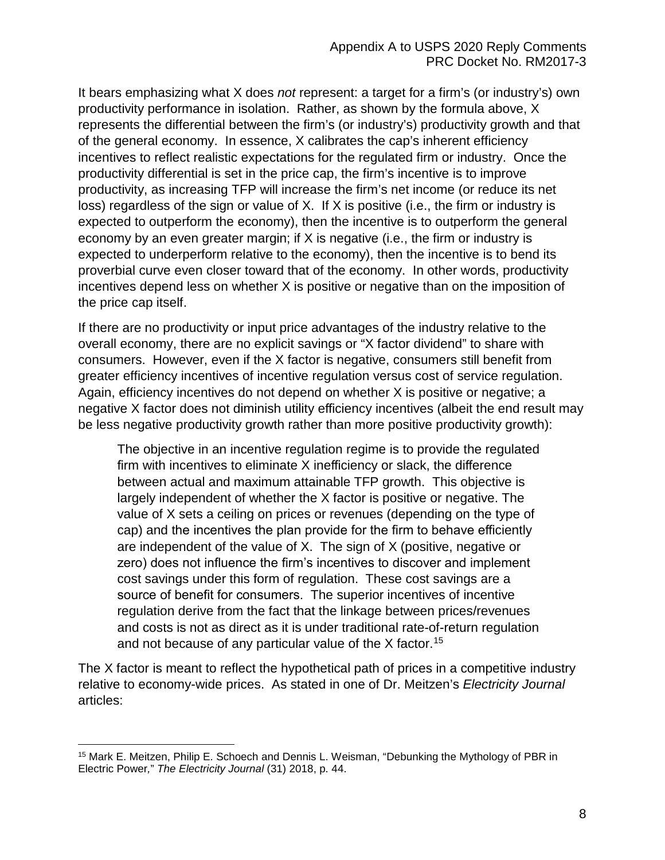It bears emphasizing what X does *not* represent: a target for a firm's (or industry's) own productivity performance in isolation. Rather, as shown by the formula above, X represents the differential between the firm's (or industry's) productivity growth and that of the general economy. In essence, X calibrates the cap's inherent efficiency incentives to reflect realistic expectations for the regulated firm or industry. Once the productivity differential is set in the price cap, the firm's incentive is to improve productivity, as increasing TFP will increase the firm's net income (or reduce its net loss) regardless of the sign or value of X. If X is positive (i.e., the firm or industry is expected to outperform the economy), then the incentive is to outperform the general economy by an even greater margin; if X is negative (i.e., the firm or industry is expected to underperform relative to the economy), then the incentive is to bend its proverbial curve even closer toward that of the economy. In other words, productivity incentives depend less on whether X is positive or negative than on the imposition of the price cap itself.

If there are no productivity or input price advantages of the industry relative to the overall economy, there are no explicit savings or "X factor dividend" to share with consumers. However, even if the X factor is negative, consumers still benefit from greater efficiency incentives of incentive regulation versus cost of service regulation. Again, efficiency incentives do not depend on whether X is positive or negative; a negative X factor does not diminish utility efficiency incentives (albeit the end result may be less negative productivity growth rather than more positive productivity growth):

The objective in an incentive regulation regime is to provide the regulated firm with incentives to eliminate X inefficiency or slack, the difference between actual and maximum attainable TFP growth. This objective is largely independent of whether the X factor is positive or negative. The value of X sets a ceiling on prices or revenues (depending on the type of cap) and the incentives the plan provide for the firm to behave efficiently are independent of the value of X. The sign of X (positive, negative or zero) does not influence the firm's incentives to discover and implement cost savings under this form of regulation. These cost savings are a source of benefit for consumers. The superior incentives of incentive regulation derive from the fact that the linkage between prices/revenues and costs is not as direct as it is under traditional rate-of-return regulation and not because of any particular value of the  $X$  factor.<sup>[15](#page-9-0)</sup>

The X factor is meant to reflect the hypothetical path of prices in a competitive industry relative to economy-wide prices. As stated in one of Dr. Meitzen's *Electricity Journal*  articles:

<span id="page-9-0"></span><sup>&</sup>lt;sup>15</sup> Mark E. Meitzen, Philip E. Schoech and Dennis L. Weisman, "Debunking the Mythology of PBR in Electric Power*,*" *The Electricity Journal* (31) 2018, p. 44.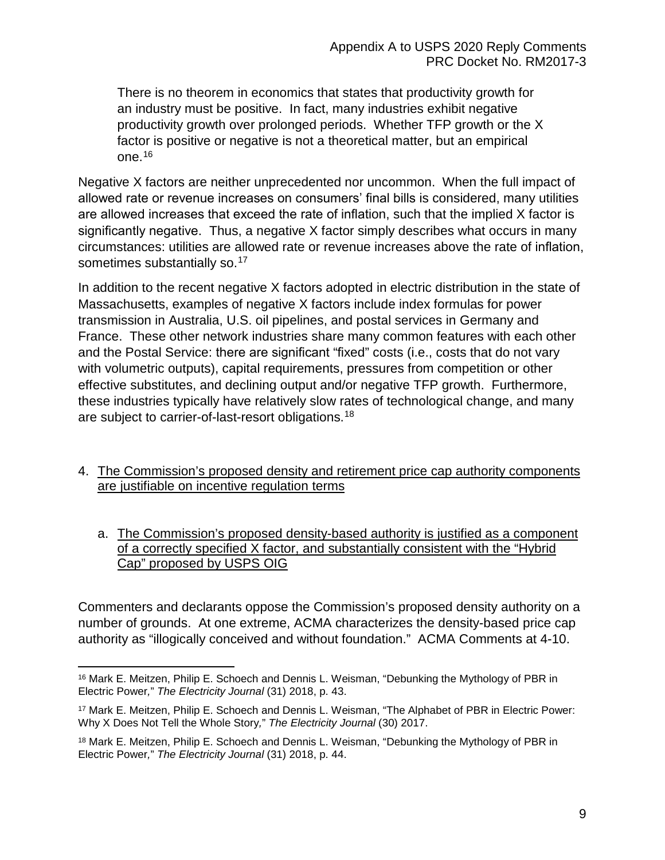There is no theorem in economics that states that productivity growth for an industry must be positive. In fact, many industries exhibit negative productivity growth over prolonged periods. Whether TFP growth or the X factor is positive or negative is not a theoretical matter, but an empirical one.[16](#page-10-2)

Negative X factors are neither unprecedented nor uncommon. When the full impact of allowed rate or revenue increases on consumers' final bills is considered, many utilities are allowed increases that exceed the rate of inflation, such that the implied X factor is significantly negative. Thus, a negative X factor simply describes what occurs in many circumstances: utilities are allowed rate or revenue increases above the rate of inflation, sometimes substantially so.<sup>[17](#page-10-3)</sup>

In addition to the recent negative X factors adopted in electric distribution in the state of Massachusetts, examples of negative X factors include index formulas for power transmission in Australia, U.S. oil pipelines, and postal services in Germany and France. These other network industries share many common features with each other and the Postal Service: there are significant "fixed" costs (i.e., costs that do not vary with volumetric outputs), capital requirements, pressures from competition or other effective substitutes, and declining output and/or negative TFP growth. Furthermore, these industries typically have relatively slow rates of technological change, and many are subject to carrier-of-last-resort obligations.<sup>[18](#page-10-4)</sup>

## <span id="page-10-0"></span>4. The Commission's proposed density and retirement price cap authority components are justifiable on incentive regulation terms

<span id="page-10-1"></span>a. The Commission's proposed density-based authority is justified as a component of a correctly specified X factor, and substantially consistent with the "Hybrid Cap" proposed by USPS OIG

Commenters and declarants oppose the Commission's proposed density authority on a number of grounds. At one extreme, ACMA characterizes the density-based price cap authority as "illogically conceived and without foundation." ACMA Comments at 4-10.

<span id="page-10-2"></span> $\overline{\phantom{a}}$ <sup>16</sup> Mark E. Meitzen, Philip E. Schoech and Dennis L. Weisman, "Debunking the Mythology of PBR in Electric Power*,*" *The Electricity Journal* (31) 2018, p. 43.

<span id="page-10-3"></span><sup>17</sup> Mark E. Meitzen, Philip E. Schoech and Dennis L. Weisman, "The Alphabet of PBR in Electric Power: Why X Does Not Tell the Whole Story*,*" *The Electricity Journal* (30) 2017.

<span id="page-10-4"></span><sup>&</sup>lt;sup>18</sup> Mark E. Meitzen, Philip E. Schoech and Dennis L. Weisman, "Debunking the Mythology of PBR in Electric Power*,*" *The Electricity Journal* (31) 2018, p. 44.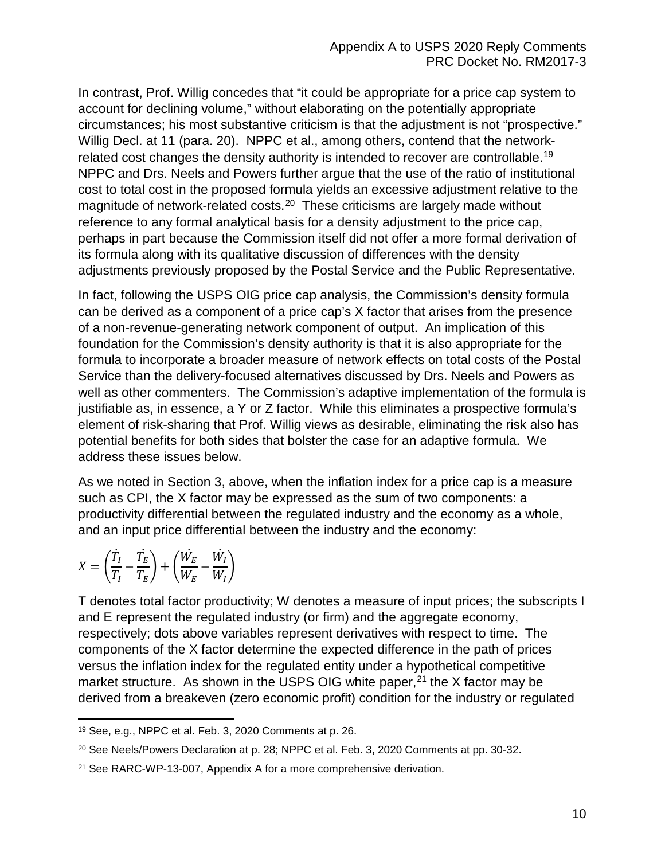In contrast, Prof. Willig concedes that "it could be appropriate for a price cap system to account for declining volume," without elaborating on the potentially appropriate circumstances; his most substantive criticism is that the adjustment is not "prospective." Willig Decl. at 11 (para. 20). NPPC et al., among others, contend that the networkrelated cost changes the density authority is intended to recover are controllable.[19](#page-11-0)  NPPC and Drs. Neels and Powers further argue that the use of the ratio of institutional cost to total cost in the proposed formula yields an excessive adjustment relative to the magnitude of network-related costs. [20](#page-11-1) These criticisms are largely made without reference to any formal analytical basis for a density adjustment to the price cap, perhaps in part because the Commission itself did not offer a more formal derivation of its formula along with its qualitative discussion of differences with the density adjustments previously proposed by the Postal Service and the Public Representative.

In fact, following the USPS OIG price cap analysis, the Commission's density formula can be derived as a component of a price cap's X factor that arises from the presence of a non-revenue-generating network component of output. An implication of this foundation for the Commission's density authority is that it is also appropriate for the formula to incorporate a broader measure of network effects on total costs of the Postal Service than the delivery-focused alternatives discussed by Drs. Neels and Powers as well as other commenters. The Commission's adaptive implementation of the formula is justifiable as, in essence, a Y or Z factor. While this eliminates a prospective formula's element of risk-sharing that Prof. Willig views as desirable, eliminating the risk also has potential benefits for both sides that bolster the case for an adaptive formula. We address these issues below.

As we noted in Section 3, above, when the inflation index for a price cap is a measure such as CPI, the X factor may be expressed as the sum of two components: a productivity differential between the regulated industry and the economy as a whole, and an input price differential between the industry and the economy:

$$
X = \left(\frac{\dot{T}_I}{T_I} - \frac{\dot{T}_E}{T_E}\right) + \left(\frac{\dot{W}_E}{W_E} - \frac{\dot{W}_I}{W_I}\right)
$$

 $\overline{\phantom{a}}$ 

T denotes total factor productivity; W denotes a measure of input prices; the subscripts I and E represent the regulated industry (or firm) and the aggregate economy, respectively; dots above variables represent derivatives with respect to time. The components of the X factor determine the expected difference in the path of prices versus the inflation index for the regulated entity under a hypothetical competitive market structure. As shown in the USPS OIG white paper,  $21$  the X factor may be derived from a breakeven (zero economic profit) condition for the industry or regulated

<span id="page-11-0"></span><sup>19</sup> See, e.g., NPPC et al. Feb. 3, 2020 Comments at p. 26.

<span id="page-11-1"></span><sup>&</sup>lt;sup>20</sup> See Neels/Powers Declaration at p. 28; NPPC et al. Feb. 3, 2020 Comments at pp. 30-32.

<span id="page-11-2"></span><sup>21</sup> See RARC-WP-13-007, Appendix A for a more comprehensive derivation.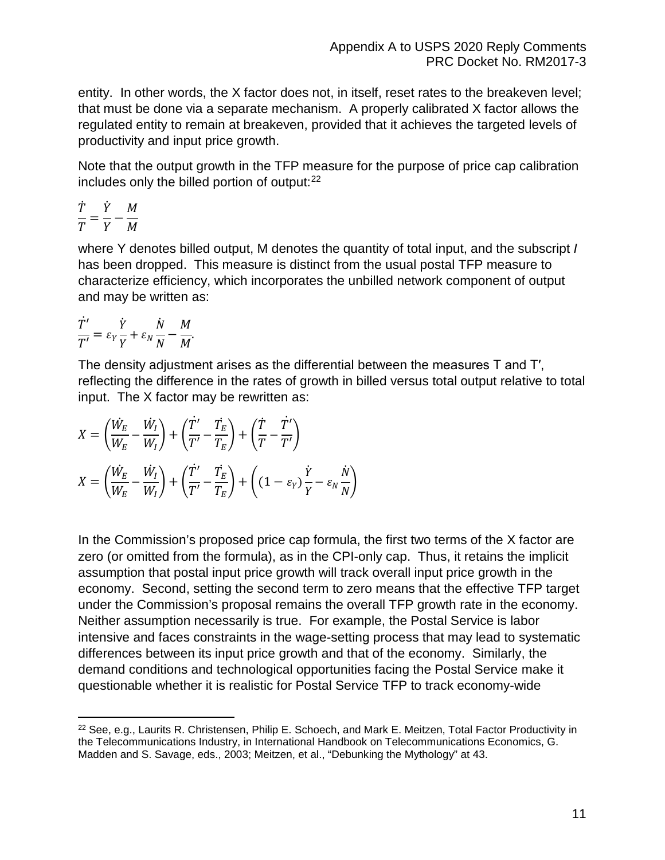entity. In other words, the X factor does not, in itself, reset rates to the breakeven level; that must be done via a separate mechanism. A properly calibrated X factor allows the regulated entity to remain at breakeven, provided that it achieves the targeted levels of productivity and input price growth.

Note that the output growth in the TFP measure for the purpose of price cap calibration includes only the billed portion of output: [22](#page-12-0) 

$$
\frac{\dot{T}}{T} = \frac{\dot{Y}}{Y} - \frac{M}{M}
$$

where Y denotes billed output, M denotes the quantity of total input, and the subscript *I* has been dropped. This measure is distinct from the usual postal TFP measure to characterize efficiency, which incorporates the unbilled network component of output and may be written as:

$$
\frac{\dot{T}'}{T'}=\varepsilon_Y\frac{\dot{Y}}{Y}+\varepsilon_N\frac{\dot{N}}{N}-\frac{M}{M}.
$$

The density adjustment arises as the differential between the measures T and T′, reflecting the difference in the rates of growth in billed versus total output relative to total input. The X factor may be rewritten as:

$$
X = \left(\frac{\dot{W}_E}{W_E} - \frac{\dot{W}_I}{W_I}\right) + \left(\frac{\dot{T}'}{T'} - \frac{\dot{T}_E}{T_E}\right) + \left(\frac{\dot{T}}{T} - \frac{\dot{T}'}{T'}\right)
$$

$$
X = \left(\frac{\dot{W}_E}{W_E} - \frac{\dot{W}_I}{W_I}\right) + \left(\frac{\dot{T}'}{T'} - \frac{\dot{T}_E}{T_E}\right) + \left((1 - \varepsilon_Y)\frac{\dot{Y}}{Y} - \varepsilon_N\frac{\dot{N}}{N}\right)
$$

In the Commission's proposed price cap formula, the first two terms of the X factor are zero (or omitted from the formula), as in the CPI-only cap. Thus, it retains the implicit assumption that postal input price growth will track overall input price growth in the economy. Second, setting the second term to zero means that the effective TFP target under the Commission's proposal remains the overall TFP growth rate in the economy. Neither assumption necessarily is true. For example, the Postal Service is labor intensive and faces constraints in the wage-setting process that may lead to systematic differences between its input price growth and that of the economy. Similarly, the demand conditions and technological opportunities facing the Postal Service make it questionable whether it is realistic for Postal Service TFP to track economy-wide

<span id="page-12-0"></span> $\overline{a}$ <sup>22</sup> See, e.g., Laurits R. Christensen, Philip E. Schoech, and Mark E. Meitzen, Total Factor Productivity in the Telecommunications Industry, in International Handbook on Telecommunications Economics, G. Madden and S. Savage, eds., 2003; Meitzen, et al., "Debunking the Mythology" at 43.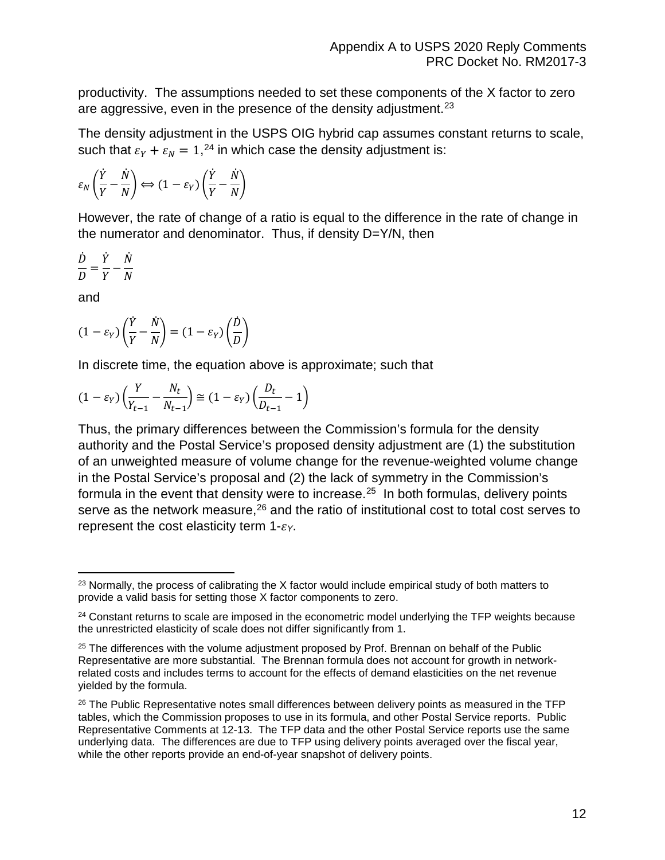productivity. The assumptions needed to set these components of the X factor to zero are aggressive, even in the presence of the density adjustment.<sup>[23](#page-13-0)</sup>

The density adjustment in the USPS OIG hybrid cap assumes constant returns to scale, such that  $\varepsilon_{Y} + \varepsilon_{N} = 1,^{24}$  $\varepsilon_{Y} + \varepsilon_{N} = 1,^{24}$  $\varepsilon_{Y} + \varepsilon_{N} = 1,^{24}$  in which case the density adjustment is:

$$
\varepsilon_N\left(\frac{\dot{Y}}{Y}-\frac{\dot{N}}{N}\right) \Longleftrightarrow (1-\varepsilon_Y)\left(\frac{\dot{Y}}{Y}-\frac{\dot{N}}{N}\right)
$$

However, the rate of change of a ratio is equal to the difference in the rate of change in the numerator and denominator. Thus, if density D=Y/N, then

$$
\frac{\dot{D}}{D} = \frac{\dot{Y}}{Y} - \frac{\dot{N}}{N}
$$

and

$$
(1 - \varepsilon_Y) \left(\frac{\dot{Y}}{Y} - \frac{\dot{N}}{N}\right) = (1 - \varepsilon_Y) \left(\frac{\dot{D}}{D}\right)
$$

In discrete time, the equation above is approximate; such that

$$
(1 - \varepsilon_Y) \left(\frac{Y}{Y_{t-1}} - \frac{N_t}{N_{t-1}}\right) \cong (1 - \varepsilon_Y) \left(\frac{D_t}{D_{t-1}} - 1\right)
$$

Thus, the primary differences between the Commission's formula for the density authority and the Postal Service's proposed density adjustment are (1) the substitution of an unweighted measure of volume change for the revenue-weighted volume change in the Postal Service's proposal and (2) the lack of symmetry in the Commission's formula in the event that density were to increase.<sup>[25](#page-13-2)</sup> In both formulas, delivery points serve as the network measure, $26$  and the ratio of institutional cost to total cost serves to represent the cost elasticity term  $1-\varepsilon y$ .

<span id="page-13-0"></span> $\overline{a}$  $23$  Normally, the process of calibrating the X factor would include empirical study of both matters to provide a valid basis for setting those X factor components to zero.

<span id="page-13-1"></span><sup>&</sup>lt;sup>24</sup> Constant returns to scale are imposed in the econometric model underlying the TFP weights because the unrestricted elasticity of scale does not differ significantly from 1.

<span id="page-13-2"></span><sup>&</sup>lt;sup>25</sup> The differences with the volume adjustment proposed by Prof. Brennan on behalf of the Public Representative are more substantial. The Brennan formula does not account for growth in networkrelated costs and includes terms to account for the effects of demand elasticities on the net revenue yielded by the formula.

<span id="page-13-3"></span><sup>&</sup>lt;sup>26</sup> The Public Representative notes small differences between delivery points as measured in the TFP tables, which the Commission proposes to use in its formula, and other Postal Service reports. Public Representative Comments at 12-13. The TFP data and the other Postal Service reports use the same underlying data. The differences are due to TFP using delivery points averaged over the fiscal year, while the other reports provide an end-of-year snapshot of delivery points.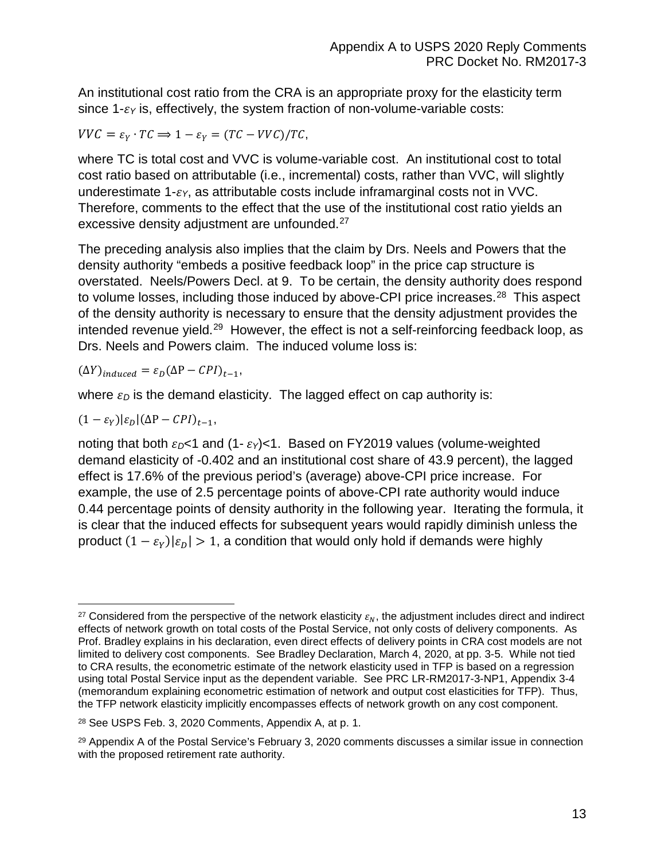An institutional cost ratio from the CRA is an appropriate proxy for the elasticity term since  $1-\varepsilon_Y$  is, effectively, the system fraction of non-volume-variable costs:

 $VVC = \varepsilon_v \cdot TC \Rightarrow 1 - \varepsilon_v = (TC - VVC)/TC,$ 

where TC is total cost and VVC is volume-variable cost. An institutional cost to total cost ratio based on attributable (i.e., incremental) costs, rather than VVC, will slightly underestimate  $1-\varepsilon_Y$ , as attributable costs include inframarginal costs not in VVC. Therefore, comments to the effect that the use of the institutional cost ratio yields an excessive density adjustment are unfounded.<sup>[27](#page-14-0)</sup>

The preceding analysis also implies that the claim by Drs. Neels and Powers that the density authority "embeds a positive feedback loop" in the price cap structure is overstated. Neels/Powers Decl. at 9. To be certain, the density authority does respond to volume losses, including those induced by above-CPI price increases.<sup>[28](#page-14-1)</sup> This aspect of the density authority is necessary to ensure that the density adjustment provides the intended revenue yield.<sup>[29](#page-14-2)</sup> However, the effect is not a self-reinforcing feedback loop, as Drs. Neels and Powers claim. The induced volume loss is:

 $(\Delta Y)_{induced} = \varepsilon_D (\Delta P - CPI)_{t-1},$ 

where  $\varepsilon_D$  is the demand elasticity. The lagged effect on cap authority is:

$$
(1-\varepsilon_Y)|\varepsilon_D|(\Delta P-{\cal C}PI)_{t-1},
$$

noting that both  $\epsilon_D$ <1 and (1- $\epsilon_Y$ )<1. Based on FY2019 values (volume-weighted demand elasticity of -0.402 and an institutional cost share of 43.9 percent), the lagged effect is 17.6% of the previous period's (average) above-CPI price increase. For example, the use of 2.5 percentage points of above-CPI rate authority would induce 0.44 percentage points of density authority in the following year. Iterating the formula, it is clear that the induced effects for subsequent years would rapidly diminish unless the product  $(1 - \varepsilon_{v})|\varepsilon_{v}| > 1$ , a condition that would only hold if demands were highly

<span id="page-14-0"></span> $\overline{a}$ <sup>27</sup> Considered from the perspective of the network elasticity  $\varepsilon_N$ , the adjustment includes direct and indirect effects of network growth on total costs of the Postal Service, not only costs of delivery components. As Prof. Bradley explains in his declaration, even direct effects of delivery points in CRA cost models are not limited to delivery cost components. See Bradley Declaration, March 4, 2020, at pp. 3-5. While not tied to CRA results, the econometric estimate of the network elasticity used in TFP is based on a regression using total Postal Service input as the dependent variable. See PRC LR-RM2017-3-NP1, Appendix 3-4 (memorandum explaining econometric estimation of network and output cost elasticities for TFP). Thus, the TFP network elasticity implicitly encompasses effects of network growth on any cost component.

<span id="page-14-1"></span><sup>28</sup> See USPS Feb. 3, 2020 Comments, Appendix A, at p. 1.

<span id="page-14-2"></span><sup>29</sup> Appendix A of the Postal Service's February 3, 2020 comments discusses a similar issue in connection with the proposed retirement rate authority.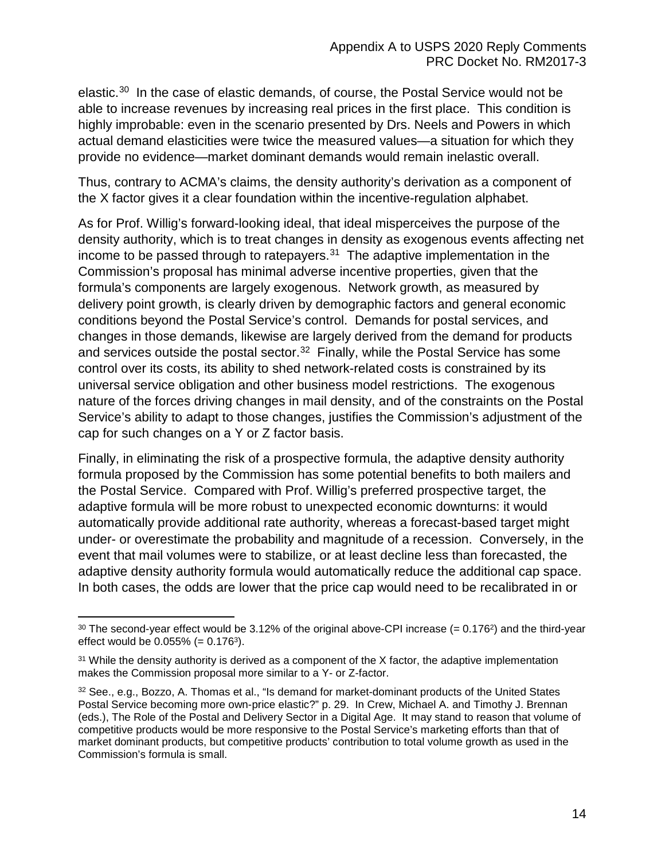elastic.[30](#page-15-0) In the case of elastic demands, of course, the Postal Service would not be able to increase revenues by increasing real prices in the first place. This condition is highly improbable: even in the scenario presented by Drs. Neels and Powers in which actual demand elasticities were twice the measured values—a situation for which they provide no evidence—market dominant demands would remain inelastic overall.

Thus, contrary to ACMA's claims, the density authority's derivation as a component of the X factor gives it a clear foundation within the incentive-regulation alphabet.

As for Prof. Willig's forward-looking ideal, that ideal misperceives the purpose of the density authority, which is to treat changes in density as exogenous events affecting net income to be passed through to ratepayers. $31$  The adaptive implementation in the Commission's proposal has minimal adverse incentive properties, given that the formula's components are largely exogenous. Network growth, as measured by delivery point growth, is clearly driven by demographic factors and general economic conditions beyond the Postal Service's control. Demands for postal services, and changes in those demands, likewise are largely derived from the demand for products and services outside the postal sector. $32$  Finally, while the Postal Service has some control over its costs, its ability to shed network-related costs is constrained by its universal service obligation and other business model restrictions. The exogenous nature of the forces driving changes in mail density, and of the constraints on the Postal Service's ability to adapt to those changes, justifies the Commission's adjustment of the cap for such changes on a Y or Z factor basis.

Finally, in eliminating the risk of a prospective formula, the adaptive density authority formula proposed by the Commission has some potential benefits to both mailers and the Postal Service. Compared with Prof. Willig's preferred prospective target, the adaptive formula will be more robust to unexpected economic downturns: it would automatically provide additional rate authority, whereas a forecast-based target might under- or overestimate the probability and magnitude of a recession. Conversely, in the event that mail volumes were to stabilize, or at least decline less than forecasted, the adaptive density authority formula would automatically reduce the additional cap space. In both cases, the odds are lower that the price cap would need to be recalibrated in or

<span id="page-15-0"></span> $30$  The second-year effect would be 3.12% of the original above-CPI increase (= 0.176<sup>2</sup>) and the third-year effect would be  $0.055\%$  (= 0.176<sup>3</sup>).

<span id="page-15-1"></span> $31$  While the density authority is derived as a component of the X factor, the adaptive implementation makes the Commission proposal more similar to a Y- or Z-factor.

<span id="page-15-2"></span><sup>32</sup> See., e.g., Bozzo, A. Thomas et al., "Is demand for market-dominant products of the United States Postal Service becoming more own-price elastic?" p. 29. In Crew, Michael A. and Timothy J. Brennan (eds.), The Role of the Postal and Delivery Sector in a Digital Age. It may stand to reason that volume of competitive products would be more responsive to the Postal Service's marketing efforts than that of market dominant products, but competitive products' contribution to total volume growth as used in the Commission's formula is small.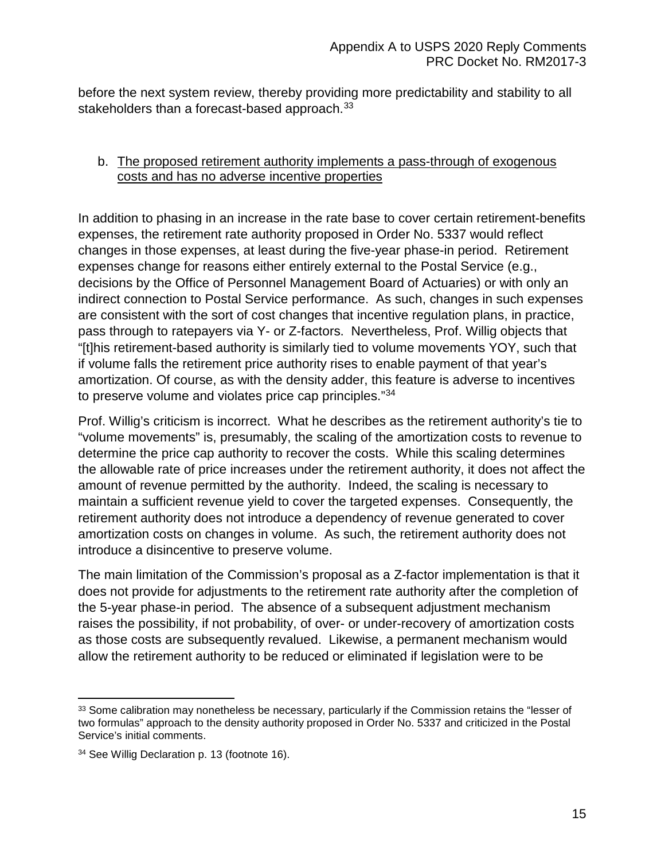before the next system review, thereby providing more predictability and stability to all stakeholders than a forecast-based approach.<sup>33</sup>

### <span id="page-16-0"></span>b. The proposed retirement authority implements a pass-through of exogenous costs and has no adverse incentive properties

In addition to phasing in an increase in the rate base to cover certain retirement-benefits expenses, the retirement rate authority proposed in Order No. 5337 would reflect changes in those expenses, at least during the five-year phase-in period. Retirement expenses change for reasons either entirely external to the Postal Service (e.g., decisions by the Office of Personnel Management Board of Actuaries) or with only an indirect connection to Postal Service performance. As such, changes in such expenses are consistent with the sort of cost changes that incentive regulation plans, in practice, pass through to ratepayers via Y- or Z-factors. Nevertheless, Prof. Willig objects that "[t]his retirement-based authority is similarly tied to volume movements YOY, such that if volume falls the retirement price authority rises to enable payment of that year's amortization. Of course, as with the density adder, this feature is adverse to incentives to preserve volume and violates price cap principles."[34](#page-16-2)

Prof. Willig's criticism is incorrect. What he describes as the retirement authority's tie to "volume movements" is, presumably, the scaling of the amortization costs to revenue to determine the price cap authority to recover the costs. While this scaling determines the allowable rate of price increases under the retirement authority, it does not affect the amount of revenue permitted by the authority. Indeed, the scaling is necessary to maintain a sufficient revenue yield to cover the targeted expenses. Consequently, the retirement authority does not introduce a dependency of revenue generated to cover amortization costs on changes in volume. As such, the retirement authority does not introduce a disincentive to preserve volume.

The main limitation of the Commission's proposal as a Z-factor implementation is that it does not provide for adjustments to the retirement rate authority after the completion of the 5-year phase-in period. The absence of a subsequent adjustment mechanism raises the possibility, if not probability, of over- or under-recovery of amortization costs as those costs are subsequently revalued. Likewise, a permanent mechanism would allow the retirement authority to be reduced or eliminated if legislation were to be

<span id="page-16-1"></span><sup>33</sup> Some calibration may nonetheless be necessary, particularly if the Commission retains the "lesser of two formulas" approach to the density authority proposed in Order No. 5337 and criticized in the Postal Service's initial comments.

<span id="page-16-2"></span><sup>34</sup> See Willig Declaration p. 13 (footnote 16).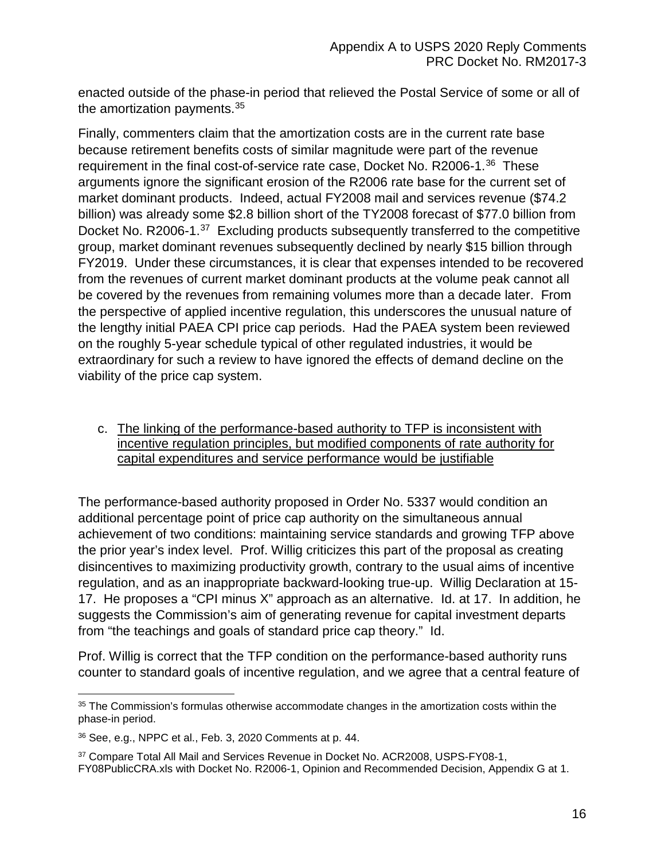enacted outside of the phase-in period that relieved the Postal Service of some or all of the amortization payments.<sup>[35](#page-17-1)</sup>

Finally, commenters claim that the amortization costs are in the current rate base because retirement benefits costs of similar magnitude were part of the revenue requirement in the final cost-of-service rate case, Docket No. R2006-1.<sup>[36](#page-17-2)</sup> These arguments ignore the significant erosion of the R2006 rate base for the current set of market dominant products. Indeed, actual FY2008 mail and services revenue (\$74.2 billion) was already some \$2.8 billion short of the TY2008 forecast of \$77.0 billion from Docket No. R2006-1.<sup>[37](#page-17-3)</sup> Excluding products subsequently transferred to the competitive group, market dominant revenues subsequently declined by nearly \$15 billion through FY2019. Under these circumstances, it is clear that expenses intended to be recovered from the revenues of current market dominant products at the volume peak cannot all be covered by the revenues from remaining volumes more than a decade later. From the perspective of applied incentive regulation, this underscores the unusual nature of the lengthy initial PAEA CPI price cap periods. Had the PAEA system been reviewed on the roughly 5-year schedule typical of other regulated industries, it would be extraordinary for such a review to have ignored the effects of demand decline on the viability of the price cap system.

## <span id="page-17-0"></span>c. The linking of the performance-based authority to TFP is inconsistent with incentive regulation principles, but modified components of rate authority for capital expenditures and service performance would be justifiable

The performance-based authority proposed in Order No. 5337 would condition an additional percentage point of price cap authority on the simultaneous annual achievement of two conditions: maintaining service standards and growing TFP above the prior year's index level. Prof. Willig criticizes this part of the proposal as creating disincentives to maximizing productivity growth, contrary to the usual aims of incentive regulation, and as an inappropriate backward-looking true-up. Willig Declaration at 15- 17. He proposes a "CPI minus X" approach as an alternative. Id. at 17. In addition, he suggests the Commission's aim of generating revenue for capital investment departs from "the teachings and goals of standard price cap theory." Id.

Prof. Willig is correct that the TFP condition on the performance-based authority runs counter to standard goals of incentive regulation, and we agree that a central feature of

<span id="page-17-1"></span><sup>&</sup>lt;sup>35</sup> The Commission's formulas otherwise accommodate changes in the amortization costs within the phase-in period.

<span id="page-17-2"></span><sup>36</sup> See, e.g., NPPC et al., Feb. 3, 2020 Comments at p. 44.

<span id="page-17-3"></span><sup>37</sup> Compare Total All Mail and Services Revenue in Docket No. ACR2008, USPS-FY08-1, FY08PublicCRA.xls with Docket No. R2006-1, Opinion and Recommended Decision, Appendix G at 1.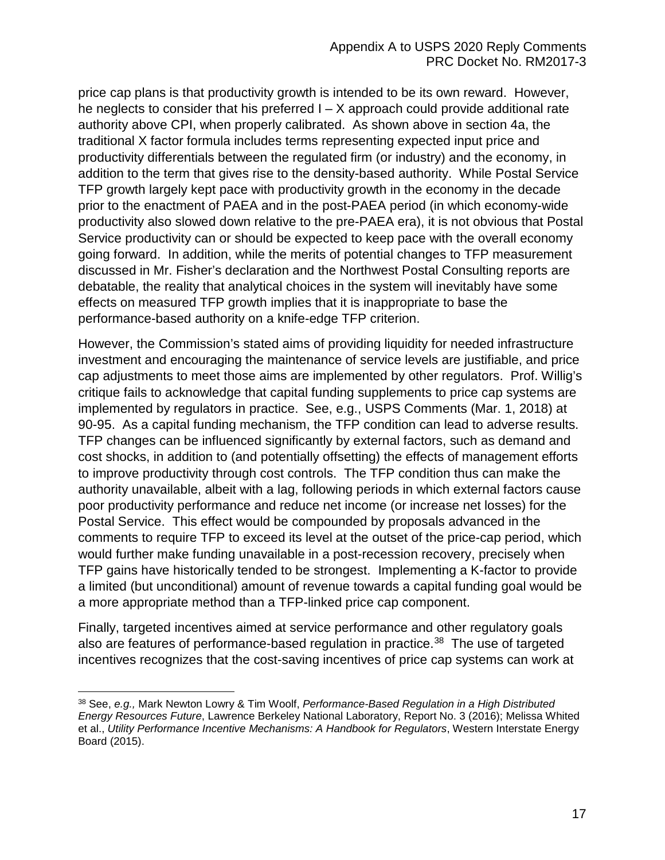price cap plans is that productivity growth is intended to be its own reward. However, he neglects to consider that his preferred  $I - X$  approach could provide additional rate authority above CPI, when properly calibrated. As shown above in section 4a, the traditional X factor formula includes terms representing expected input price and productivity differentials between the regulated firm (or industry) and the economy, in addition to the term that gives rise to the density-based authority. While Postal Service TFP growth largely kept pace with productivity growth in the economy in the decade prior to the enactment of PAEA and in the post-PAEA period (in which economy-wide productivity also slowed down relative to the pre-PAEA era), it is not obvious that Postal Service productivity can or should be expected to keep pace with the overall economy going forward. In addition, while the merits of potential changes to TFP measurement discussed in Mr. Fisher's declaration and the Northwest Postal Consulting reports are debatable, the reality that analytical choices in the system will inevitably have some effects on measured TFP growth implies that it is inappropriate to base the performance-based authority on a knife-edge TFP criterion.

However, the Commission's stated aims of providing liquidity for needed infrastructure investment and encouraging the maintenance of service levels are justifiable, and price cap adjustments to meet those aims are implemented by other regulators. Prof. Willig's critique fails to acknowledge that capital funding supplements to price cap systems are implemented by regulators in practice. See, e.g., USPS Comments (Mar. 1, 2018) at 90-95. As a capital funding mechanism, the TFP condition can lead to adverse results. TFP changes can be influenced significantly by external factors, such as demand and cost shocks, in addition to (and potentially offsetting) the effects of management efforts to improve productivity through cost controls. The TFP condition thus can make the authority unavailable, albeit with a lag, following periods in which external factors cause poor productivity performance and reduce net income (or increase net losses) for the Postal Service. This effect would be compounded by proposals advanced in the comments to require TFP to exceed its level at the outset of the price-cap period, which would further make funding unavailable in a post-recession recovery, precisely when TFP gains have historically tended to be strongest. Implementing a K-factor to provide a limited (but unconditional) amount of revenue towards a capital funding goal would be a more appropriate method than a TFP-linked price cap component.

Finally, targeted incentives aimed at service performance and other regulatory goals also are features of performance-based regulation in practice.<sup>[38](#page-18-0)</sup> The use of targeted incentives recognizes that the cost-saving incentives of price cap systems can work at

 $\overline{a}$ 

<span id="page-18-0"></span><sup>38</sup> See, *e.g.,* Mark Newton Lowry & Tim Woolf, *Performance-Based Regulation in a High Distributed Energy Resources Future*, Lawrence Berkeley National Laboratory, Report No. 3 (2016); Melissa Whited et al., *Utility Performance Incentive Mechanisms: A Handbook for Regulators*, Western Interstate Energy Board (2015).